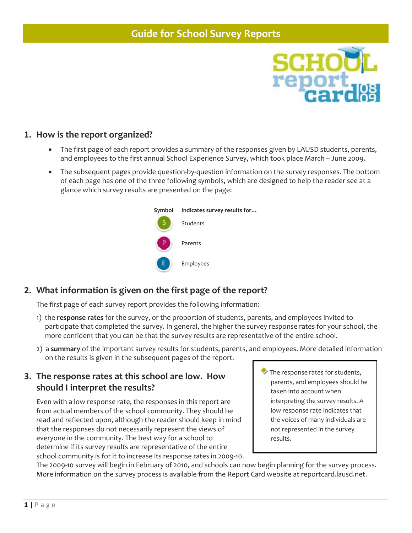

### **1. How is the report organized?**

- The first page of each report provides a summary of the responses given by LAUSD students, parents, and employees to the first annual School Experience Survey, which took place March – June 2009.
- The subsequent pages provide question‐by‐question information on the survey responses. The bottom of each page has one of the three following symbols, which are designed to help the reader see at a glance which survey results are presented on the page:



# **2. What information is given on the first page of the report?**

The first page of each survey report provides the following information:

- 1) the **response rates** for the survey, or the proportion of students, parents, and employees invited to participate that completed the survey. In general, the higher the survey response rates for your school, the more confident that you can be that the survey results are representative of the entire school.
- 2) a **summary** of the important survey results for students, parents, and employees. More detailed information on the results is given in the subsequent pages of the report.

### **3. The response rates at this school are low. How should I interpret the results?**

Even with a low response rate, the responses in this report are from actual members of the school community. They should be read and reflected upon, although the reader should keep in mind that the responses do not necessarily represent the views of everyone in the community. The best way for a school to determine if its survey results are representative of the entire school community is for it to increase its response rates in 2009‐10. The response rates for students, parents, and employees should be taken into account when interpreting the survey results. A low response rate indicates that the voices of many individuals are not represented in the survey results.

The 2009-10 survey will begin in February of 2010, and schools can now begin planning for the survey process. More information on the survey process is available from the Report Card website at reportcard.lausd.net.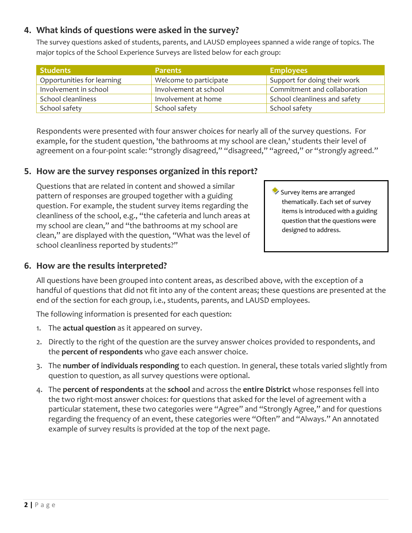# **4. What kinds of questions were asked in the survey?**

The survey questions asked of students, parents, and LAUSD employees spanned a wide range of topics. The major topics of the School Experience Surveys are listed below for each group:

| Students                   | <b>Parents</b>         | <b>Employees</b>              |
|----------------------------|------------------------|-------------------------------|
| Opportunities for learning | Welcome to participate | Support for doing their work  |
| Involvement in school      | Involvement at school  | Commitment and collaboration  |
| School cleanliness         | Involvement at home    | School cleanliness and safety |
| School safety              | School safety          | School safety                 |

Respondents were presented with four answer choices for nearly all of the survey questions. For example, for the student question, 'the bathrooms at my school are clean,' students their level of agreement on a four-point scale: "strongly disagreed," "disagreed," "agreed," or "strongly agreed."

# **5. How are the survey responses organized in this report?**

Questions that are related in content and showed a similar pattern of responses are grouped together with a guiding question. For example, the student survey items regarding the cleanliness of the school, e.g., "the cafeteria and lunch areas at my school are clean," and "the bathrooms at my school are clean," are displayed with the question, "What was the level of school cleanliness reported by students?"

### **6. How are the results interpreted?**

Survey items are arranged thematically. Each set of survey items is introduced with a guiding question that the questions were designed to address.

All questions have been grouped into content areas, as described above, with the exception of a handful of questions that did not fit into any of the content areas; these questions are presented at the end of the section for each group, i.e., students, parents, and LAUSD employees.

The following information is presented for each question:

- 1. The **actual question** as it appeared on survey.
- 2. Directly to the right of the question are the survey answer choices provided to respondents, and the **percent of respondents** who gave each answer choice.
- 3. The **number of individuals responding** to each question. In general, these totals varied slightly from question to question, as all survey questions were optional.
- 4. The **percent of respondents** at the **school** and across the **entire District** whose responses fell into the two right‐most answer choices: for questions that asked for the level of agreement with a particular statement, these two categories were "Agree" and "Strongly Agree," and for questions regarding the frequency of an event, these categories were "Often" and "Always." An annotated example of survey results is provided at the top of the next page.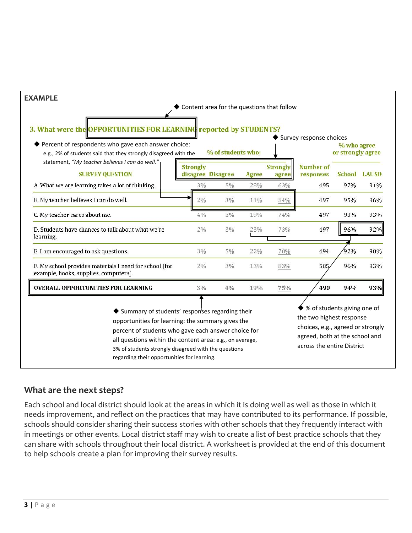

# **What are the next steps?**

Each school and local district should look at the areas in which it is doing well as well as those in which it needs improvement, and reflect on the practices that may have contributed to its performance. If possible, schools should consider sharing their success stories with other schools that they frequently interact with in meetings or other events. Local district staff may wish to create a list of best practice schools that they can share with schools throughout their local district. A worksheet is provided at the end of this document to help schools create a plan for improving their survey results.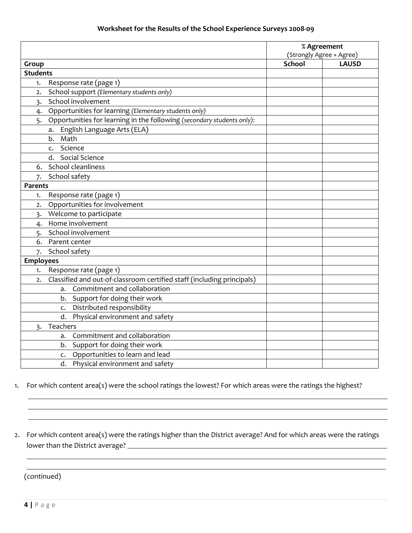#### **Worksheet for the Results of the School Experience Surveys 2008‐09**

|                  |                                                                        | % Agreement<br>(Strongly Agree + Agree) |              |
|------------------|------------------------------------------------------------------------|-----------------------------------------|--------------|
|                  |                                                                        |                                         |              |
| Group            |                                                                        | <b>School</b>                           | <b>LAUSD</b> |
| <b>Students</b>  |                                                                        |                                         |              |
| 1.               | Response rate (page 1)                                                 |                                         |              |
| $\mathbf{2}$     | School support (Elementary students only)                              |                                         |              |
| 3.               | School involvement                                                     |                                         |              |
| 4.               | Opportunities for learning (Elementary students only)                  |                                         |              |
| 5.               | Opportunities for learning in the following (secondary students only): |                                         |              |
|                  | English Language Arts (ELA)<br>a.                                      |                                         |              |
|                  | Math<br>b.                                                             |                                         |              |
|                  | Science<br>$\mathsf{C}$ .                                              |                                         |              |
|                  | Social Science<br>d.                                                   |                                         |              |
| 6.               | School cleanliness                                                     |                                         |              |
| 7.               | School safety                                                          |                                         |              |
| Parents          |                                                                        |                                         |              |
| 1.               | Response rate (page 1)                                                 |                                         |              |
| $\mathbf{2}$     | Opportunities for involvement                                          |                                         |              |
| 3.               | Welcome to participate                                                 |                                         |              |
| 4.               | Home involvement                                                       |                                         |              |
| 5.               | School involvement                                                     |                                         |              |
| 6.               | Parent center                                                          |                                         |              |
| 7.               | School safety                                                          |                                         |              |
| <b>Employees</b> |                                                                        |                                         |              |
| 1.               | Response rate (page 1)                                                 |                                         |              |
| 2.               | Classified and out-of-classroom certified staff (including principals) |                                         |              |
|                  | Commitment and collaboration<br>a.                                     |                                         |              |
|                  | b. Support for doing their work                                        |                                         |              |
|                  | c. Distributed responsibility                                          |                                         |              |
|                  | Physical environment and safety<br>d.                                  |                                         |              |
| 3.               | Teachers                                                               |                                         |              |
|                  | Commitment and collaboration<br>a.                                     |                                         |              |
|                  | b. Support for doing their work                                        |                                         |              |
|                  | c. Opportunities to learn and lead                                     |                                         |              |
|                  | d.<br>Physical environment and safety                                  |                                         |              |

1. For which content area(s) were the school ratings the lowest? For which areas were the ratings the highest?

2. For which content area(s) were the ratings higher than the District average? And for which areas were the ratings lower than the District average?

<u> 1989 - Andrea Santa Alemania, amerikana amerikana amerikana amerikana amerikana amerikana amerikana amerikan</u> <u> 1989 - Andrea Santa Alemania, amerikana amerikana amerikana amerikana amerikana amerikana amerikana amerikan</u>

<u> 1989 - Andrea Santa Andrea Andrea Andrea Andrea Andrea Andrea Andrea Andrea Andrea Andrea Andrea Andrea Andr</u> <u> 1989 - Andrea Santa Andrea Andrea Andrea Andrea Andrea Andrea Andrea Andrea Andrea Andrea Andrea Andrea Andr</u> <u> 1989 - Andrea Santa Andrea Andrea Andrea Andrea Andrea Andrea Andrea Andrea Andrea Andrea Andrea Andrea Andr</u>

(continued)